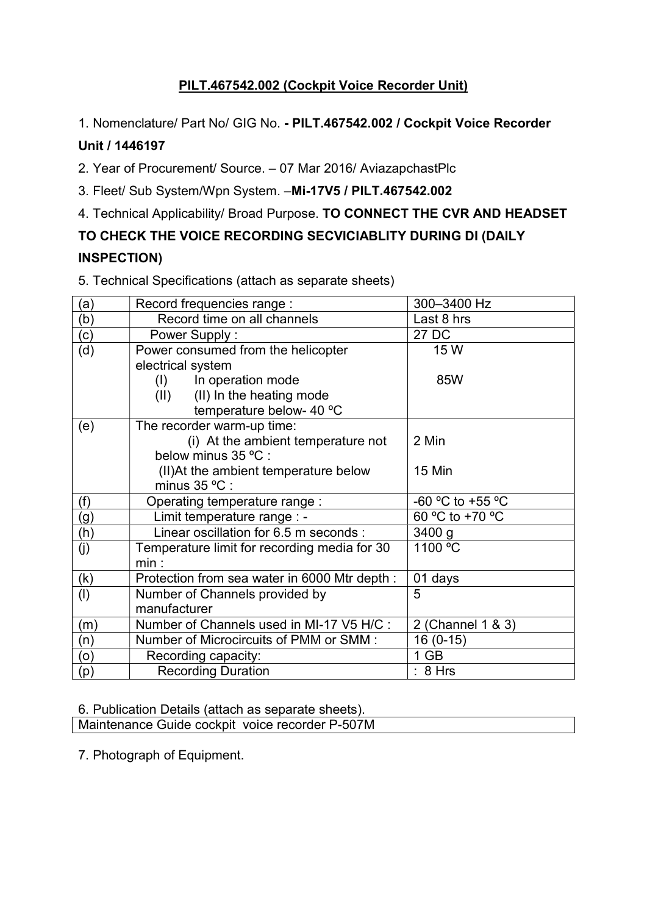## PILT.467542.002 (Cockpit Voice Recorder Unit)

1. Nomenclature/ Part No/ GIG No. - PILT.467542.002 / Cockpit Voice Recorder

## Unit / 1446197

2. Year of Procurement/ Source. – 07 Mar 2016/ AviazapchastPlc

3. Fleet/ Sub System/Wpn System. –Mi-17V5 / PILT.467542.002

4. Technical Applicability/ Broad Purpose. TO CONNECT THE CVR AND HEADSET

## TO CHECK THE VOICE RECORDING SECVICIABLITY DURING DI (DAILY INSPECTION)

5. Technical Specifications (attach as separate sheets)

| (a)            | Record frequencies range :                                                               | 300-3400 Hz       |
|----------------|------------------------------------------------------------------------------------------|-------------------|
| (b)            | Record time on all channels                                                              | Last 8 hrs        |
| (c)            | Power Supply:                                                                            | 27 DC             |
| (d)            | Power consumed from the helicopter<br>electrical system                                  | 15 W              |
|                | In operation mode<br>(I)<br>(II) In the heating mode<br>(11)<br>temperature below- 40 °C | 85W               |
| (e)            | The recorder warm-up time:<br>(i) At the ambient temperature not<br>below minus 35 °C :  | 2 Min             |
|                | (II) At the ambient temperature below<br>minus 35 °C :                                   | 15 Min            |
| (f)            | Operating temperature range:                                                             | -60 °C to +55 °C  |
| (g)            | Limit temperature range : -                                                              | 60 °C to +70 °C   |
| (h)            | Linear oscillation for 6.5 m seconds :                                                   | 3400 g            |
| (j)            | Temperature limit for recording media for 30<br>min:                                     | 1100 °C           |
| (k)            | Protection from sea water in 6000 Mtr depth :                                            | 01 days           |
| (1)            | Number of Channels provided by<br>manufacturer                                           | 5                 |
| (m)            | Number of Channels used in MI-17 V5 H/C :                                                | 2 (Channel 1 & 3) |
| (n)            | Number of Microcircuits of PMM or SMM :                                                  | $16(0-15)$        |
| (o)            | Recording capacity:                                                                      | $1$ GB            |
| $\mathsf{(p)}$ | <b>Recording Duration</b>                                                                | : 8 Hrs           |

6. Publication Details (attach as separate sheets).

Maintenance Guide cockpit voice recorder P-507M

7. Photograph of Equipment.